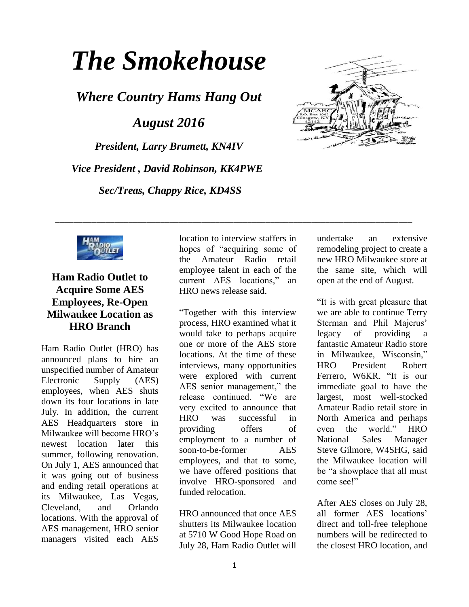# *The Smokehouse*

*Where Country Hams Hang Out*

*August 2016*

*President, Larry Brumett, KN4IV Vice President , David Robinson, KK4PWE Sec/Treas, Chappy Rice, KD4SS*





# **Ham Radio Outlet to Acquire Some AES Employees, Re-Open Milwaukee Location as HRO Branch**

Ham Radio Outlet [\(HRO\)](http://www.hamradio.com/) has announced plans to hire an unspecified number of Amateur Electronic Supply [\(AES\)](http://www.aesham.com/) employees, when AES shuts down its four locations in late July. In addition, the current AES Headquarters store in Milwaukee will become HRO's newest location later this summer, following renovation. On July 1, AES announced that it was going out of business and ending retail operations at its Milwaukee, Las Vegas, Cleveland, and Orlando locations. With the approval of AES management, HRO senior managers visited each AES location to interview staffers in hopes of "acquiring some of the Amateur Radio retail employee talent in each of the current AES locations," an HRO [news release](http://www.hamradio.com/press-release.cfm) said.

**\_\_\_\_\_\_\_\_\_\_\_\_\_\_\_\_\_\_\_\_\_\_\_\_\_\_\_\_\_\_\_\_\_\_\_\_\_\_\_\_\_\_\_\_\_\_\_\_\_\_\_\_\_\_\_\_\_\_\_\_\_\_\_\_\_\_\_\_\_\_\_\_\_\_\_\_\_\_**

"Together with this interview process, HRO examined what it would take to perhaps acquire one or more of the AES store locations. At the time of these interviews, many opportunities were explored with current AES senior management," the release continued. "We are very excited to announce that HRO was successful in providing offers of employment to a number of soon-to-be-former AES employees, and that to some, we have offered positions that involve HRO-sponsored and funded relocation.

HRO announced that once AES shutters its Milwaukee location at 5710 W Good Hope Road on July 28, Ham Radio Outlet will undertake an extensive remodeling project to create a new HRO Milwaukee store at the same site, which will open at the end of August.

"It is with great pleasure that we are able to continue Terry Sterman and Phil Majerus' legacy of providing a fantastic Amateur Radio store in Milwaukee, Wisconsin," HRO President Robert Ferrero, W6KR. "It is our immediate goal to have the largest, most well-stocked Amateur Radio retail store in North America and perhaps even the world." HRO National Sales Manager Steve Gilmore, W4SHG, said the Milwaukee location will be "a showplace that all must come see!"

After AES closes on July 28, all former AES locations' direct and toll-free telephone numbers will be redirected to the closest HRO location, and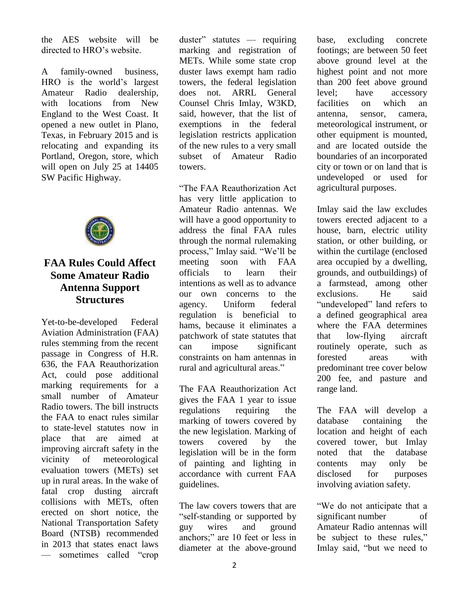the AES website will be directed to HRO's website.

A family-owned business, HRO is the world's largest Amateur Radio dealership, with locations from New England to the West Coast. It opened a new outlet in Plano, Texas, in February 2015 and is relocating and expanding its Portland, Oregon, store, which will open on July 25 at 14405 SW Pacific Highway.



## **FAA Rules Could Affect Some Amateur Radio Antenna Support Structures**

Yet-to-be-developed Federal Aviation Administration [\(FAA\)](http://www.faa.gov/) rules stemming from the recent passage in Congress of [H.R.](https://www.congress.gov/bill/114th-congress/house-bill/636)  [636,](https://www.congress.gov/bill/114th-congress/house-bill/636) the FAA Reauthorization Act, could pose additional marking requirements for a small number of Amateur Radio towers. The bill instructs the FAA to enact rules similar to state-level statutes now in place that are aimed at improving aircraft safety in the vicinity of meteorological evaluation towers (METs) set up in rural areas. In the wake of fatal crop dusting aircraft collisions with METs, often erected on short notice, the National Transportation Safety Board (NTSB) recommended in 2013 that states enact laws — sometimes called "crop

duster" statutes — requiring marking and registration of METs. While some state crop duster laws exempt ham radio towers, the federal legislation does not. ARRL General Counsel Chris Imlay, W3KD, said, however, that the list of exemptions in the federal legislation restricts application of the new rules to a very small subset of Amateur Radio towers.

"The FAA Reauthorization Act has very little application to Amateur Radio antennas. We will have a good opportunity to address the final FAA rules through the normal rulemaking process," Imlay said. "We'll be meeting soon with FAA officials to learn their intentions as well as to advance our own concerns to the agency. Uniform federal regulation is beneficial to hams, because it eliminates a patchwork of state statutes that can impose significant constraints on ham antennas in rural and agricultural areas."

The FAA Reauthorization Act gives the FAA 1 year to issue regulations requiring the marking of towers covered by the new legislation. Marking of towers covered by the legislation will be in the form of painting and lighting in accordance with current FAA guidelines.

The law covers towers that are "self-standing or supported by guy wires and ground anchors;" are 10 feet or less in diameter at the above-ground

base, excluding concrete footings; are between 50 feet above ground level at the highest point and not more than 200 feet above ground level; have accessory facilities on which an antenna, sensor, camera, meteorological instrument, or other equipment is mounted, and are located outside the boundaries of an incorporated city or town or on land that is undeveloped or used for agricultural purposes.

Imlay said the law excludes towers erected adjacent to a house, barn, electric utility station, or other building, or within the curtilage (enclosed area occupied by a dwelling, grounds, and outbuildings) of a farmstead, among other exclusions. He said "undeveloped" land refers to a defined geographical area where the FAA determines that low-flying aircraft routinely operate, such as forested areas with predominant tree cover below 200 fee, and pasture and range land.

The FAA will develop a database containing the location and height of each covered tower, but Imlay noted that the database contents may only be disclosed for purposes involving aviation safety.

"We do not anticipate that a significant number of Amateur Radio antennas will be subject to these rules," Imlay said, "but we need to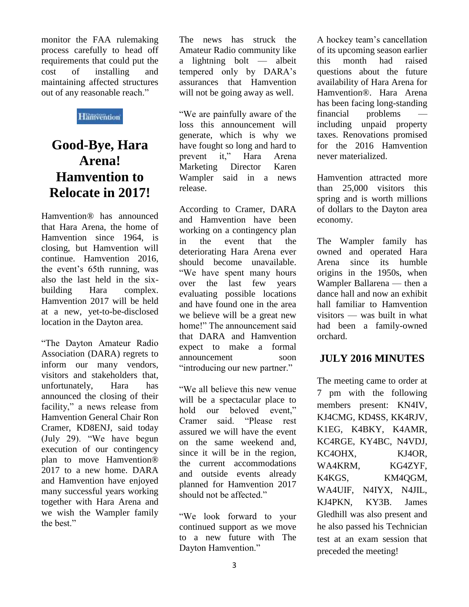monitor the FAA rulemaking process carefully to head off requirements that could put the cost of installing and maintaining affected structures out of any reasonable reach."

#### **Hänvention**

# **Good-Bye, Hara Arena! Hamvention to Relocate in 2017!**

[Hamvention](http://www.hamvention.org/)*®* has [announced](http://hamvention.org/dayton-hamvention-2017-venue-announcement/) that Hara Arena, the home of Hamvention since 1964, is closing, but Hamvention will continue. Hamvention 2016, the event's 65th running, was also the last held in the sixbuilding Hara complex. Hamvention 2017 will be held at a new, yet-to-be-disclosed location in the Dayton area.

"The Dayton Amateur Radio Association (DARA) regrets to inform our many vendors, visitors and stakeholders that, unfortunately, Hara has announced the closing of their facility," a news release from Hamvention General Chair Ron Cramer, KD8ENJ, said today (July 29). "We have begun execution of our contingency plan to move Hamvention® 2017 to a new home. DARA and Hamvention have enjoyed many successful years working together with Hara Arena and we wish the Wampler family the best."

The news has struck the Amateur Radio community like a lightning bolt — albeit tempered only by DARA's assurances that Hamvention will not be going away as well.

"We are painfully aware of the loss this announcement will generate, which is why we have fought so long and hard to prevent it," Hara Arena<br>Marketing Director Karen Marketing Director Karen Wampler said in a news release.

According to Cramer, DARA and Hamvention have been working on a contingency plan in the event that the deteriorating Hara Arena ever should become unavailable. "We have spent many hours over the last few years evaluating possible locations and have found one in the area we believe will be a great new home!" The announcement said that DARA and Hamvention expect to make a formal announcement soon "introducing our new partner."

"We all believe this new venue will be a spectacular place to hold our beloved event." Cramer said. "Please rest assured we will have the event on the same weekend and, since it will be in the region, the current accommodations and outside events already planned for Hamvention 2017 should not be affected."

"We look forward to your continued support as we move to a new future with The Dayton Hamvention."

A hockey team's cancellation of its upcoming season earlier this month had raised questions about the future availability of Hara Arena for Hamvention®. Hara Arena has been facing long-standing financial problems including unpaid property taxes. Renovations promised for the 2016 Hamvention never materialized.

Hamvention attracted more than 25,000 visitors this spring and is worth millions of dollars to the Dayton area economy.

The Wampler family has owned and operated Hara Arena since its humble origins in the 1950s, when Wampler Ballarena — then a dance hall and now an exhibit hall familiar to Hamvention visitors — was built in what had been a family-owned orchard.

### **JULY 2016 MINUTES**

The meeting came to order at 7 pm with the following members present: KN4IV, KJ4CMG, KD4SS, KK4RJV, K1EG, K4BKY, K4AMR, KC4RGE, KY4BC, N4VDJ, KC4OHX, KJ4OR, WA4KRM, KG4ZYF, K4KGS, KM4QGM, WA4UIF, N4IYX, N4JIL, KJ4PKN, KY3B. James Gledhill was also present and he also passed his Technician test at an exam session that preceded the meeting!